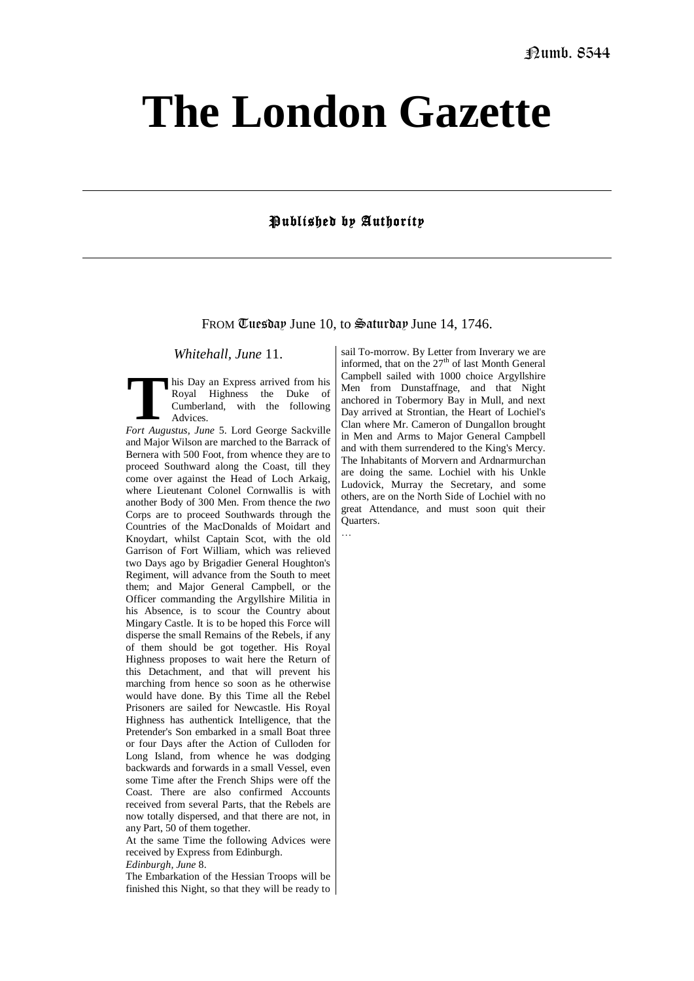## **The London Gazette**

## Published by Authority

FROM Tuesday June 10, to Saturday June 14, 1746.

*Whitehall, June* 11.

his Day an Express arrived from his Royal Highness the Duke of Cumberland, with the following Advices. **Fort Augustus, June 5. Lord George Sackville Fort Augustus, June 5. Lord George Sackville** 

and Major Wilson are marched to the Barrack of Bernera with 500 Foot, from whence they are to proceed Southward along the Coast, till they come over against the Head of Loch Arkaig, where Lieutenant Colonel Cornwallis is with another Body of 300 Men. From thence the *two*  Corps are to proceed Southwards through the Countries of the MacDonalds of Moidart and Knoydart, whilst Captain Scot, with the old Garrison of Fort William, which was relieved two Days ago by Brigadier General Houghton's Regiment, will advance from the South to meet them; and Major General Campbell, or the Officer commanding the Argyllshire Militia in his Absence, is to scour the Country about Mingary Castle. It is to be hoped this Force will disperse the small Remains of the Rebels, if any of them should be got together. His Royal Highness proposes to wait here the Return of this Detachment, and that will prevent his marching from hence so soon as he otherwise would have done. By this Time all the Rebel Prisoners are sailed for Newcastle. His Royal Highness has authentick Intelligence, that the Pretender's Son embarked in a small Boat three or four Days after the Action of Culloden for Long Island, from whence he was dodging backwards and forwards in a small Vessel, even some Time after the French Ships were off the Coast. There are also confirmed Accounts received from several Parts, that the Rebels are now totally dispersed, and that there are not, in any Part, 50 of them together.

At the same Time the following Advices were received by Express from Edinburgh. *Edinburgh, June* 8.

The Embarkation of the Hessian Troops will be finished this Night, so that they will be ready to

sail To-morrow. By Letter from Inverary we are informed, that on the  $27<sup>th</sup>$  of last Month General Campbell sailed with 1000 choice Argyllshire Men from Dunstaffnage, and that Night anchored in Tobermory Bay in Mull, and next Day arrived at Strontian, the Heart of Lochiel's Clan where Mr. Cameron of Dungallon brought in Men and Arms to Major General Campbell and with them surrendered to the King's Mercy. The Inhabitants of Morvern and Ardnarmurchan are doing the same. Lochiel with his Unkle Ludovick, Murray the Secretary, and some others, are on the North Side of Lochiel with no great Attendance, and must soon quit their **Quarters** …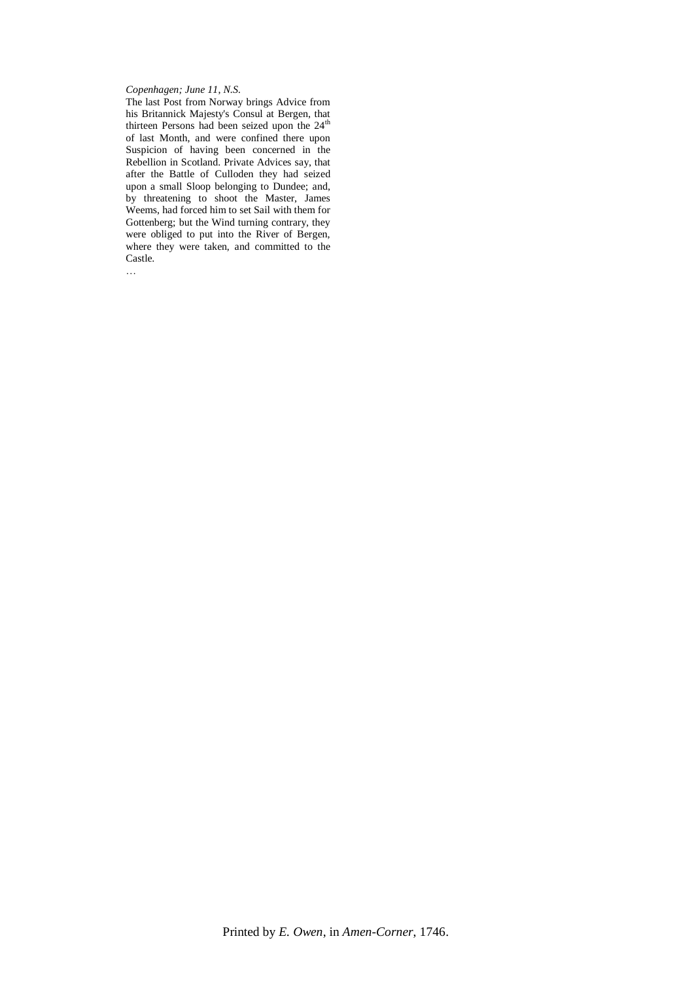## *Copenhagen; June 11*, *N.S.*

The last Post from Norway brings Advice from his Britannick Majesty's Consul at Bergen, that thirteen Persons had been seized upon the 24<sup>th</sup> of last Month, and were confined there upon Suspicion of having been concerned in the Rebellion in Scotland. Private Advices say, that after the Battle of Culloden they had seized upon a small Sloop belonging to Dundee; and, by threatening to shoot the Master, James Weems, had forced him to set Sail with them for Gottenberg; but the Wind turning contrary, they were obliged to put into the River of Bergen, where they were taken, and committed to the Castle.

…